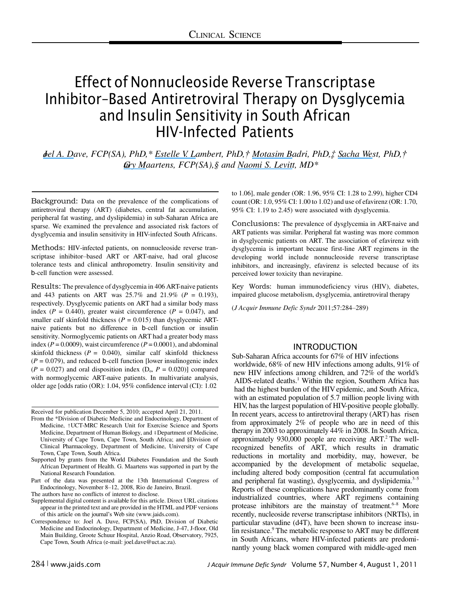# Effect of Nonnucleoside Reverse Transcriptase Inhibitor–Based Antiretroviral Therapy on Dysglycemia and Insulin Sensitivity in South African HIV-Infected Patients

*[Joel A. Da](https://www.researchgate.net/profile/Joel_Dave?el=1_x_100&enrichId=rgreq-2010686a52bbb97bdb978ee19dc116e9-XXX&enrichSource=Y292ZXJQYWdlOzUxMTU2Mjg0O0FTOjIwOTA1NDIyOTExMDc5MEAxNDI2ODUzODIwNDc1)ve, FCP(SA), PhD,\* [Estelle V. Lambert,](https://www.researchgate.net/profile/Estelle_Lambert?el=1_x_100&enrichId=rgreq-2010686a52bbb97bdb978ee19dc116e9-XXX&enrichSource=Y292ZXJQYWdlOzUxMTU2Mjg0O0FTOjIwOTA1NDIyOTExMDc5MEAxNDI2ODUzODIwNDc1) PhD,† [Motasim Badri,](https://www.researchgate.net/profile/Motasim_Badri2?el=1_x_100&enrichId=rgreq-2010686a52bbb97bdb978ee19dc116e9-XXX&enrichSource=Y292ZXJQYWdlOzUxMTU2Mjg0O0FTOjIwOTA1NDIyOTExMDc5MEAxNDI2ODUzODIwNDc1) PhD,‡ [S acha Wes](https://www.researchgate.net/profile/Sacha_West?el=1_x_100&enrichId=rgreq-2010686a52bbb97bdb978ee19dc116e9-XXX&enrichSource=Y292ZXJQYWdlOzUxMTU2Mjg0O0FTOjIwOTA1NDIyOTExMDc5MEAxNDI2ODUzODIwNDc1)t, PhD,† [Gary Maartens,](https://www.researchgate.net/profile/Gary_Maartens?el=1_x_100&enrichId=rgreq-2010686a52bbb97bdb978ee19dc116e9-XXX&enrichSource=Y292ZXJQYWdlOzUxMTU2Mjg0O0FTOjIwOTA1NDIyOTExMDc5MEAxNDI2ODUzODIwNDc1) FCP(SA),§ and [Naomi S. Levitt](https://www.researchgate.net/profile/Naomi_Levitt?el=1_x_100&enrichId=rgreq-2010686a52bbb97bdb978ee19dc116e9-XXX&enrichSource=Y292ZXJQYWdlOzUxMTU2Mjg0O0FTOjIwOTA1NDIyOTExMDc5MEAxNDI2ODUzODIwNDc1), MD\**

Background: Data on the prevalence of the complications of antiretroviral therapy (ART) (diabetes, central fat accumulation, peripheral fat wasting, and dyslipidemia) in sub-Saharan Africa are sparse. We examined the prevalence and associated risk factors of dysglycemia and insulin sensitivity in HIV-infected South Africans.

Methods: HIV-infected patients, on nonnucleoside reverse transcriptase inhibitor–based ART or ART-naive, had oral glucose tolerance tests and clinical anthropometry. Insulin sensitivity and b-cell function were assessed.

Results: The prevalence of dysglycemia in 406 ART-naive patients and 443 patients on ART was 25.7% and 21.9% (*P* = 0.193), respectively. Dysglycemic patients on ART had a similar body mass index ( $P = 0.440$ ), greater waist circumference ( $P = 0.047$ ), and smaller calf skinfold thickness ( $P = 0.015$ ) than dysglycemic ARTnaive patients but no difference in b-cell function or insulin sensitivity. Normoglycemic patients on ART had a greater body mass index ( $P = 0.0009$ ), waist circumference ( $P = 0.0001$ ), and abdominal skinfold thickness  $(P = 0.040)$ , similar calf skinfold thickness  $(P = 0.079)$ , and reduced b-cell function [lower insulinogenic index  $(P = 0.027)$  and oral disposition index  $(D_0, P = 0.020)$ ] compared with normoglycemic ART-naive patients. In multivariate analysis, older age [odds ratio (OR): 1.04, 95% confidence interval (CI): 1.02

Received for publication December 5, 2010; accepted April 21, 2011.

- From the \*Division of Diabetic Medicine and Endocrinology, Department of Medicine, †UCT-MRC Research Unit for Exercise Science and Sports Medicine, Department of Human Biology, and ‡Department of Medicine, University of Cape Town, Cape Town, South Africa; and §Division of Clinical Pharmacology, Department of Medicine, University of Cape Town, Cape Town, South Africa.
- Supported by grants from the World Diabetes Foundation and the South African Department of Health. G. Maartens was supported in part by the National Research Foundation.
- Part of the data was presented at the 13th International Congress of Endocrinology, November 8–12, 2008, Rio de Janeiro, Brazil.
- The authors have no conflicts of interest to disclose.
- Supplemental digital content is available for this article. Direct URL citations appear in the printed text and are provided in the HTML and PDF versions of this article on the journal's Web site (www.jaids.com).
- Correspondence to: Joel A. Dave, FCP(SA), PhD, Division of Diabetic Medicine and Endocrinology, Department of Medicine, J-47, J-floor, Old Main Building, Groote Schuur Hospital, Anzio Road, Observatory, 7925, Cape Town, South Africa (e-mail: joel.dave@uct.ac.za).

to 1.06], male gender (OR: 1.96, 95% CI: 1.28 to 2.99), higher CD4 count (OR: 1.0, 95% CI: 1.00 to 1.02) and use of efavirenz (OR: 1.70, 95% CI: 1.19 to 2.45) were associated with dysglycemia.

Conclusions: The prevalence of dysglycemia in ART-naive and ART patients was similar. Peripheral fat wasting was more common in dysglycemic patients on ART. The association of efavirenz with dysglycemia is important because first-line ART regimens in the developing world include nonnucleoside reverse transcriptase inhibitors, and increasingly, efavirenz is selected because of its perceived lower toxicity than nevirapine.

Key Words: human immunodeficiency virus (HIV), diabetes, impaired glucose metabolism, dysglycemia, antiretroviral therapy

(*J Acquir Immune Defic Syndr* 2011;57:284–289)

## INTRODUCTION

Sub-Saharan Africa accounts for 67% of HIV infections worldwide, 68% of new HIV infections among adults, 91% of new HIV infections among children, and 72% of the world's AIDS-related deaths.<sup>1</sup> Within the region, Southern Africa has had the highest burden of the HIV epidemic, and South Africa, with an estimated population of 5.7 million people living with HIV, has the largest population of HIV-positive people globally. In recent years, access to antiretroviral therapy (ART) has risen from approximately 2% of people who are in need of this therapy in 2003 to approximately 44% in 2008. In South Africa, approximately 930,000 people are receiving ART.<sup>2</sup> The wellrecognized benefits of ART, which results in dramatic reductions in mortality and morbidity, may, however, be accompanied by the development of metabolic sequelae, including altered body composition (central fat accumulation and peripheral fat wasting), dysglycemia, and dyslipidemia.<sup>3-5</sup> Reports of these complications have predominantly come from industrialized countries, where ART regimens containing protease inhibitors are the mainstay of treatment. $6-8$  More recently, nucleoside reverse transcriptase inhibitors (NRTIs), in particular stavudine (d4T), have been shown to increase insulin resistance.<sup>9</sup> The metabolic response to ART may be different in South Africans, where HIV-infected patients are predominantly young black women compared with middle-aged men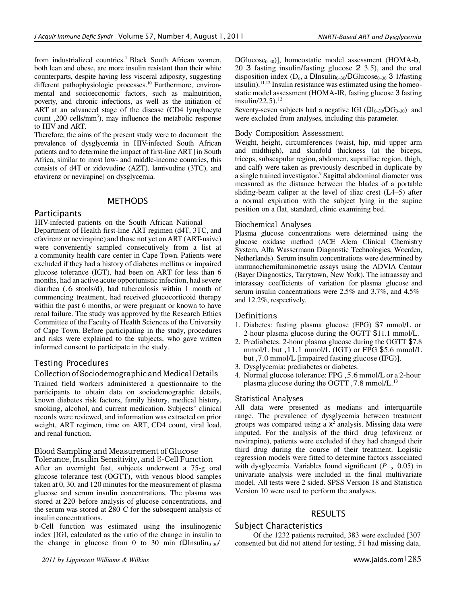from industrialized countries.<sup>1</sup> Black South African women, both lean and obese, are more insulin resistant than their white counterparts, despite having less visceral adiposity, suggesting different pathophysiologic processes.<sup>10</sup> Furthermore, environmental and socioeconomic factors, such as malnutrition, poverty, and chronic infections, as well as the initiation of ART at an advanced stage of the disease (CD4 lymphocyte count ,200 cells/mm<sup>3</sup>), may influence the metabolic response to HIV and ART.

Therefore, the aims of the present study were to document the prevalence of dysglycemia in HIV-infected South African patients and to determine the impact of first-line ART [in South Africa, similar to most low- and middle-income countries, this consists of d4T or zidovudine (AZT), lamivudine (3TC), and efavirenz or nevirapine] on dysglycemia.

#### METHODS

## Participants

 HIV-infected patients on the South African National Department of Health first-line ART regimen (d4T, 3TC, and efavirenz or nevirapine) and those not yet on ART (ART-naive) were conveniently sampled consecutively from a list at a community health care center in Cape Town. Patients were excluded if they had a history of diabetes mellitus or impaired glucose tolerance (IGT), had been on ART for less than 6 months, had an active acute opportunistic infection, had severe diarrhea (.6 stools/d), had tuberculosis within 1 month of commencing treatment, had received glucocorticoid therapy within the past 6 months, or were pregnant or known to have renal failure. The study was approved by the Research Ethics Committee of the Faculty of Health Sciences of the University of Cape Town. Before participating in the study, procedures and risks were explained to the subjects, who gave written informed consent to participate in the study.

# Testing Procedures

## Collection of Sociodemographic and Medical Details

Trained field workers administered a questionnaire to the participants to obtain data on sociodemographic details, known diabetes risk factors, family history, medical history, smoking, alcohol, and current medication. Subjects' clinical records were reviewed, and information was extracted on prior weight, ART regimen, time on ART, CD4 count, viral load, and renal function.

#### Blood Sampling and Measurement of Glucose Tolerance, Insulin Sensitivity, and b-Cell Function

After an overnight fast, subjects underwent a 75-g oral glucose tolerance test (OGTT), with venous blood samples taken at 0, 30, and 120 minutes for the measurement of plasma glucose and serum insulin concentrations. The plasma was stored at 220 before analysis of glucose concentrations, and the serum was stored at 280 C for the subsequent analysis of insulin concentrations.

b-Cell function was estimated using the insulinogenic index [IGI, calculated as the ratio of the change in insulin to the change in glucose from 0 to 30 min (DInsulin<sub>0–30</sub>/

 $DGlucose_{0-30})$ ], homeostatic model assessment (HOMA-b, 20 3 fasting insulin/fasting glucose 2 3.5), and the oral disposition index ( $D_0$ , a DInsulin<sub>0–30</sub>/DGlucose<sub>0–30</sub> 3 1/fasting insulin).<sup>11,12</sup> Insulin resistance was estimated using the homeostatic model assessment (HOMA-IR, fasting glucose 3 fasting insulin/22.5).<sup>12</sup>

Seventy-seven subjects had a negative IGI ( $DI<sub>0-30</sub>/DG<sub>0-30</sub>$ ) and were excluded from analyses, including this parameter.

#### Body Composition Assessment

Weight, height, circumferences (waist, hip, mid–upper arm and midthigh), and skinfold thickness (at the biceps, triceps, subscapular region, abdomen, suprailiac region, thigh, and calf) were taken as previously described in duplicate by a single trained investigator.<sup>9</sup> Sagittal abdominal diameter was measured as the distance between the blades of a portable sliding-beam caliper at the level of iliac crest (L4–5) after a normal expiration with the subject lying in the supine position on a flat, standard, clinic examining bed.

#### Biochemical Analyses

Plasma glucose concentrations were determined using the glucose oxidase method (ACE Alera Clinical Chemistry System, Alfa Wassermann Diagnostic Technologies, Woerden, Netherlands). Serum insulin concentrations were determined by immunochemiluminometric assays using the ADVIA Centaur (Bayer Diagnostics, Tarrytown, New York). The intraassay and interassay coefficients of variation for plasma glucose and serum insulin concentrations were 2.5% and 3.7%, and 4.5% and 12.2%, respectively.

## Definitions

- 1. Diabetes: fasting plasma glucose (FPG) \$7 mmol/L or 2-hour plasma glucose during the OGTT \$11.1 mmol/L.
- 2. Prediabetes: 2-hour plasma glucose during the OGTT \$7.8 mmol/L but ,11.1 mmol/L (IGT) or FPG \$5.6 mmol/L but ,7.0 mmol/L [impaired fasting glucose (IFG)].
- 3. Dysglycemia: prediabetes or diabetes.
- 4. Normal glucose tolerance: FPG ,5.6 mmol/L or a 2-hour plasma glucose during the OGTT, 7.8 mmol/L.<sup>13</sup>

## Statistical Analyses

All data were presented as medians and interquartile range. The prevalence of dysglycemia between treatment groups was compared using a  $x^2$  analysis. Missing data were imputed. For the analysis of the third drug (efavirenz or nevirapine), patients were excluded if they had changed their third drug during the course of their treatment. Logistic regression models were fitted to determine factors associated with dysglycemia. Variables found significant (*P*, 0.05) in univariate analysis were included in the final multivariate model. All tests were 2 sided. SPSS Version 18 and Statistica Version 10 were used to perform the analyses.

## RESULTS

#### Subject Characteristics

Of the 1232 patients recruited, 383 were excluded [307 consented but did not attend for testing, 51 had missing data,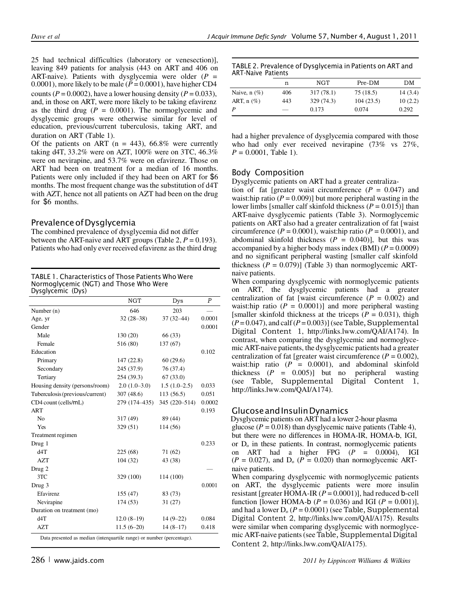25 had technical difficulties (laboratory or venesection)], leaving 849 patients for analysis (443 on ART and 406 on ART-naive). Patients with dysglycemia were older (*P* = duration on ART (Table 1). 0.0001), more likely to be male ( $\dot{P} = 0.0001$ ), have higher CD4 counts ( $P = 0.0002$ ), have a lower housing density ( $P = 0.033$ ), and, in those on ART, were more likely to be taking efavirenz as the third drug ( $P = 0.0001$ ). The normoglycemic and dysglycemic groups were otherwise similar for level of education, previous/current tuberculosis, taking ART, and

Of the patients on ART ( $n = 443$ ), 66.8% were currently taking d4T, 33.2% were on AZT, 100% were on 3TC, 46.3% were on nevirapine, and 53.7% were on efavirenz. Those on ART had been on treatment for a median of 16 months. Patients were only included if they had been on ART for \$6 months. The most frequent change was the substitution of d4T with AZT, hence not all patients on AZT had been on the drug for \$6 months.

# Prevalence of Dysglycemia

The combined prevalence of dysglycemia did not differ between the ART-naive and ART groups (Table 2,  $P = 0.193$ ). Patients who had only ever received efavirenz as the third drug

TABLE 1. Characteristics of Those Patients Who Were Normoglycemic (NGT) and Those Who Were Dysglycemic (Dys)

|                                                                        | <b>NGT</b>     | Dys            | $\boldsymbol{P}$ |
|------------------------------------------------------------------------|----------------|----------------|------------------|
| Number (n)                                                             | 646            | 203            |                  |
| Age, yr                                                                | $32(28-38)$    | $37(32 - 44)$  | 0.0001           |
| Gender                                                                 |                |                | 0.0001           |
| Male                                                                   | 130 (20)       | 66 (33)        |                  |
| Female                                                                 | 516 (80)       | 137 (67)       |                  |
| Education                                                              |                |                | 0.102            |
| Primary                                                                | 147 (22.8)     | 60(29.6)       |                  |
| Secondary                                                              | 245 (37.9)     | 76 (37.4)      |                  |
| Tertiary                                                               | 254 (39.3)     | 67(33.0)       |                  |
| Housing density (persons/room)                                         | $2.0(1.0-3.0)$ | $1.5(1.0-2.5)$ | 0.033            |
| Tuberculosis (previous/current)                                        | 307(48.6)      | 113 (56.5)     | 0.051            |
| CD4 count (cells/mL)                                                   | 279 (174-435)  | 345 (220-514)  | 0.0002           |
| <b>ART</b>                                                             |                |                | 0.193            |
| N <sub>0</sub>                                                         | 317 (49)       | 89 (44)        |                  |
| Yes                                                                    | 329 (51)       | 114 (56)       |                  |
| Treatment regimen                                                      |                |                |                  |
| Drug 1                                                                 |                |                | 0.233            |
| d4T                                                                    | 225 (68)       | 71 (62)        |                  |
| <b>AZT</b>                                                             | 104 (32)       | 43 (38)        |                  |
| Drug 2                                                                 |                |                |                  |
| 3TC                                                                    | 329 (100)      | 114 (100)      |                  |
| Drug 3                                                                 |                |                | 0.0001           |
| Efavirenz                                                              | 155 (47)       | 83 (73)        |                  |
| Nevirapine                                                             | 174 (53)       | 31(27)         |                  |
| Duration on treatment (mo)                                             |                |                |                  |
| d4T                                                                    | $12.0(8-19)$   | $14(9-22)$     | 0.084            |
| <b>AZT</b>                                                             | $11.5(6-20)$   | $14(8-17)$     | 0.418            |
| Data presented as median (interquartile range) or number (percentage). |                |                |                  |

|                   | n   | NGT        | Pre-DM    | DМ      |
|-------------------|-----|------------|-----------|---------|
| Naive, $n$ $(\%)$ | 406 | 317(78.1)  | 75 (18.5) | 14(3.4) |
| ART, $n$ $(\%)$   | 443 | 329 (74.3) | 104(23.5) | 10(2.2) |
|                   |     | 0.173      | 0.074     | 0.292   |

had a higher prevalence of dysglycemia compared with those who had only ever received nevirapine (73% vs 27%,  $P = 0.0001$ , Table 1).

# Body Composition

Dysglycemic patients on ART had a greater centraliza-

tion of fat [greater waist circumference  $(P = 0.047)$  and waist:hip ratio  $(P = 0.009)$ ] but more peripheral wasting in the lower limbs [smaller calf skinfold thickness (*P* = 0.015)] than ART-naive dysglycemic patients (Table 3). Normoglycemic patients on ART also had a greater centralization of fat [waist circumference  $(P = 0.0001)$ , waist:hip ratio  $(P = 0.0001)$ , and abdominal skinfold thickness  $(P = 0.040)$ ], but this was accompanied by a higher body mass index (BMI) (*P* = 0.0009) and no significant peripheral wasting [smaller calf skinfold thickness  $(P = 0.079)$ ] (Table 3) than normoglycemic ARTnaive patients.

When comparing dysglycemic with normoglycemic patients on ART, the dysglycemic patients had a greater centralization of fat [waist circumference  $(P = 0.002)$  and waist:hip ratio  $(P = 0.0001)$ ] and more peripheral wasting [smaller skinfold thickness at the triceps  $(P = 0.031)$ , thigh  $(P=0.047)$ , and calf  $(P=0.003)$  (see Table, Supplemental Digital Content 1, [http://links.lww.com/QAI/A174\).](http://links.lww.com/QAI/A174)) In contrast, when comparing the dysglycemic and normoglycemic ART-naive patients, the dysglycemic patients had a greater centralization of fat [greater waist circumference  $(P = 0.002)$ , waist:hip ratio  $(P = 0.0001)$ , and abdominal skinfold thickness  $(P = 0.005)$ ] but no peripheral wasting (see Table, Supplemental Digital Content 1, [http://links.lww.com/QAI/A174\).](http://links.lww.com/QAI/A174)) 

## Glucose and Insulin Dynamics

Dysglycemic patients on ART had a lower 2-hour plasma glucose ( $P = 0.018$ ) than dysglycemic naive patients (Table 4), but there were no differences in HOMA-IR, HOMA-b, IGI, or  $D_0$  in these patients. In contrast, normoglycemic patients on ART had a higher FPG  $(P = 0.0004)$ , IGI  $(P = 0.027)$ , and D<sub>o</sub>  $(P = 0.020)$  than normoglycemic ARTnaive patients.

When comparing dysglycemic with normoglycemic patients on ART, the dysglycemic patients were more insulin resistant [greater HOMA-IR (*P* = 0.0001)], had reduced b-cell function [lower HOMA-b ( $P = 0.036$ ) and IGI ( $P = 0.001$ )], and had a lower  $D_0$  ( $P = 0.0001$ ) (see Table, Supplemental Digital Content 2, [http://links.lww.com/QAI/A175\).](http://links.lww.com/QAI/A175)) Results were similar when comparing dysglycemic with normoglycemic ART-naive patients (see Table, Supplemental Digital Content 2, [http://links.lww.com/QAI/A175\).](http://links.lww.com/QAI/A175))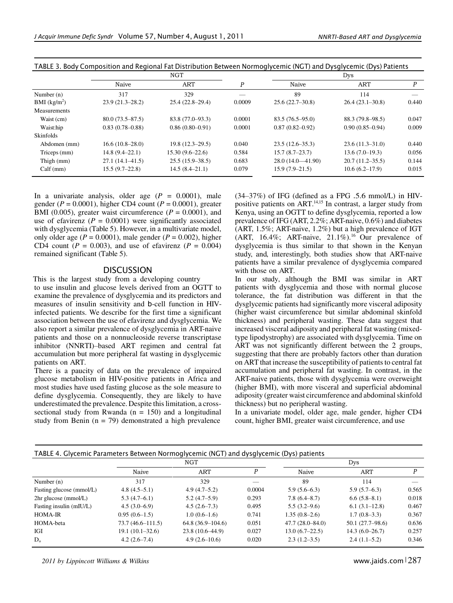|                     |                     | <b>NGT</b>          |        | Dys                  |                     |       |  |
|---------------------|---------------------|---------------------|--------|----------------------|---------------------|-------|--|
|                     | Naive               | ART                 | Ρ      | Naive                | ART                 | P     |  |
| Number $(n)$        | 317                 | 329                 |        | 89                   | 114                 |       |  |
| BMI $(kg/m^2)$      | $23.9(21.3 - 28.2)$ | $25.4(22.8-29.4)$   | 0.0009 | $25.6(22.7-30.8)$    | $26.4(23.1-30.8)$   | 0.440 |  |
| <b>Measurements</b> |                     |                     |        |                      |                     |       |  |
| Waist (cm)          | $80.0(73.5 - 87.5)$ | $83.8(77.0 - 93.3)$ | 0.0001 | $83.5(76.5 - 95.0)$  | $88.3(79.8-98.5)$   | 0.047 |  |
| Waist:hip           | $0.83(0.78 - 0.88)$ | $0.86(0.80 - 0.91)$ | 0.0001 | $0.87(0.82 - 0.92)$  | $0.90(0.85 - 0.94)$ | 0.009 |  |
| <b>Skinfolds</b>    |                     |                     |        |                      |                     |       |  |
| Abdomen (mm)        | $16.6(10.8-28.0)$   | $19.8(12.3-29.5)$   | 0.040  | $23.5(12.6 - 35.3)$  | $23.6(11.3-31.0)$   | 0.440 |  |
| Triceps (mm)        | $14.8(9.4-22.1)$    | $15.30(9.6-22.6)$   | 0.584  | $15.7(8.7-23.7)$     | $13.6(7.0-19.3)$    | 0.056 |  |
| Thigh (mm)          | $27.1(14.1 - 41.5)$ | $25.5(15.9-38.5)$   | 0.683  | $28.0(14.0 - 41.90)$ | $20.7(11.2-35.5)$   | 0.144 |  |
| Calf(mm)            | $15.5(9.7-22.8)$    | $14.5(8.4-21.1)$    | 0.079  | $15.9(7.9-21.5)$     | 10.6(6.2–17.9)      | 0.015 |  |

TABLE 3. Body Composition and Regional Fat Distribution Between Normoglycemic (NGT) and Dysglycemic (Dys) Patients

In a univariate analysis, older age  $(P = 0.0001)$ , male gender (*P* = 0.0001), higher CD4 count (*P* = 0.0001), greater BMI (0.005), greater waist circumference  $(P = 0.0001)$ , and use of efavirenz  $(P = 0.0001)$  were significantly associated with dysglycemia (Table 5). However, in a multivariate model, only older age  $(P = 0.0001)$ , male gender  $(P = 0.002)$ , higher CD4 count ( $P = 0.003$ ), and use of efavirenz ( $P = 0.004$ ) remained significant (Table 5).

#### **DISCUSSION**

 This is the largest study from a developing country to use insulin and glucose levels derived from an OGTT to examine the prevalence of dysglycemia and its predictors and measures of insulin sensitivity and b-cell function in HIVinfected patients. We describe for the first time a significant association between the use of efavirenz and dysglycemia. We also report a similar prevalence of dysglycemia in ART-naive patients and those on a nonnucleoside reverse transcriptase inhibitor (NNRTI)–based ART regimen and central fat accumulation but more peripheral fat wasting in dysglycemic patients on ART.

There is a paucity of data on the prevalence of impaired glucose metabolism in HIV-positive patients in Africa and most studies have used fasting glucose as the sole measure to define dysglycemia. Consequently, they are likely to have underestimated the prevalence. Despite this limitation, a crosssectional study from Rwanda  $(n = 150)$  and a longitudinal study from Benin ( $n = 79$ ) demonstrated a high prevalence

(34–37%) of IFG (defined as a FPG .5.6 mmol/L) in HIVpositive patients on ART.<sup>14,15</sup> In contrast, a larger study from Kenya, using an OGTT to define dysglycemia, reported a low prevalence of IFG (ART, 2.2%; ART-naive, 0.6%) and diabetes (ART, 1.5%; ART-naive, 1.2%) but a high prevalence of IGT (ART, 16.4%; ART-naive,  $21.1\%$ ).<sup>16</sup> Our prevalence of dysglycemia is thus similar to that shown in the Kenyan study, and, interestingly, both studies show that ART-naive patients have a similar prevalence of dysglycemia compared with those on ART.

In our study, although the BMI was similar in ART patients with dysglycemia and those with normal glucose tolerance, the fat distribution was different in that the dysglycemic patients had significantly more visceral adiposity (higher waist circumference but similar abdominal skinfold thickness) and peripheral wasting. These data suggest that increased visceral adiposity and peripheral fat wasting (mixedtype lipodystrophy) are associated with dysglycemia. Time on ART was not significantly different between the 2 groups, suggesting that there are probably factors other than duration on ART that increase the susceptibility of patients to central fat accumulation and peripheral fat wasting. In contrast, in the ART-naive patients, those with dysglycemia were overweight (higher BMI), with more visceral and superficial abdominal adiposity (greater waist circumference and abdominal skinfold thickness) but no peripheral wasting.

In a univariate model, older age, male gender, higher CD4 count, higher BMI, greater waist circumference, and use

| TABLE 4. Glycemic Parameters Between Normoglycemic (NGT) and dysglycemic (Dys) patients |                      |                    |        |                     |                   |       |
|-----------------------------------------------------------------------------------------|----------------------|--------------------|--------|---------------------|-------------------|-------|
|                                                                                         | <b>NGT</b>           |                    |        | Dys                 |                   |       |
|                                                                                         | Naive                | <b>ART</b>         | P      | Naive               | <b>ART</b>        | P     |
| Number $(n)$                                                                            | 317                  | 329                |        | 89                  | 114               |       |
| Fasting glucose (mmol/L)                                                                | $4.8(4.5-5.1)$       | $4.9(4.7-5.2)$     | 0.0004 | $5.9(5.6-6.3)$      | $5.9(5.7-6.3)$    | 0.565 |
| 2hr glucose (mmol/L)                                                                    | $5.3(4.7-6.1)$       | $5.2(4.7-5.9)$     | 0.293  | $7.8(6.4 - 8.7)$    | $6.6(5.8-8.1)$    | 0.018 |
| Fasting insulin (mIU/L)                                                                 | $4.5(3.0-6.9)$       | $4.5(2.6-7.3)$     | 0.495  | $5.5(3.2 - 9.6)$    | $6.1(3.1-12.8)$   | 0.467 |
| <b>HOMA-IR</b>                                                                          | $0.95(0.6-1.5)$      | $1.0(0.6-1.6)$     | 0.741  | $1.35(0.8-2.6)$     | $1.7(0.8-3.3)$    | 0.367 |
| HOMA-beta                                                                               | $73.7(46.6 - 111.5)$ | $64.8(36.9-104.6)$ | 0.051  | $47.7(28.0 - 84.0)$ | $50.1(27.7-98.6)$ | 0.636 |
| IGI                                                                                     | $19.1(10.1-32.6)$    | $23.8(10.6-44.9)$  | 0.027  | $13.0(6.7-22.5)$    | $14.3(6.0-26.7)$  | 0.257 |
| $D_{0}$                                                                                 | $4.2(2.6-7.4)$       | $4.9(2.6 - 10.6)$  | 0.020  | $2.3(1.2-3.5)$      | $2.4(1.1-5.2)$    | 0.346 |

*2011 by Lippincott Williams & Wilkins* [www.jaids.com](http://www.jaids.com/) <sup>|</sup>287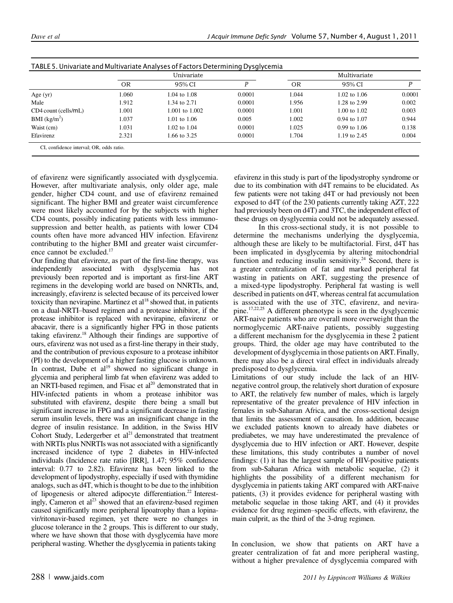|                                          | Univariate |                         |        | Multivariate |                  |        |
|------------------------------------------|------------|-------------------------|--------|--------------|------------------|--------|
|                                          | <b>OR</b>  | 95% CI                  | р      | OR           | 95% CI           | D      |
| Age $(yr)$                               | 1.060      | $1.04 \text{ to } 1.08$ | 0.0001 | 1.044        | 1.02 to 1.06     | 0.0001 |
| Male                                     | 1.912      | 1.34 to 2.71            | 0.0001 | 1.956        | 1.28 to 2.99     | 0.002  |
| CD4 count (cells/mL)                     | 1.001      | 1.001 to 1.002          | 0.0001 | 1.001        | 1.00 to 1.02     | 0.003  |
| BMI (kg/m <sup>2</sup> )                 | 1.037      | 1.01 to $1.06$          | 0.005  | 1.002        | $0.94$ to $1.07$ | 0.944  |
| Waist (cm)                               | 1.031      | 1.02 to 1.04            | 0.0001 | 1.025        | $0.99$ to $1.06$ | 0.138  |
| Efavirenz                                | 2.321      | 1.66 to 3.25            | 0.0001 | 1.704        | 1.19 to 2.45     | 0.004  |
| CI, confidence interval: OR, odds ratio. |            |                         |        |              |                  |        |

| TABLE 5. Univariate and Multivariate Analyses of Factors Determining Dysglycemia |  |
|----------------------------------------------------------------------------------|--|

of efavirenz were significantly associated with dysglycemia. However, after multivariate analysis, only older age, male gender, higher CD4 count, and use of efavirenz remained significant. The higher BMI and greater waist circumference were most likely accounted for by the subjects with higher CD4 counts, possibly indicating patients with less immunosuppression and better health, as patients with lower CD4 counts often have more advanced HIV infection. Efavirenz contributing to the higher BMI and greater waist circumference cannot be excluded.<sup>17</sup>

Our finding that efavirenz, as part of the first-line therapy, was independently associated with dysglycemia has not previously been reported and is important as first-line ART regimens in the developing world are based on NNRTIs, and, increasingly, efavirenz is selected because of its perceived lower toxicity than nevirapine. Martinez et  $al<sup>18</sup>$  showed that, in patients on a dual-NRTI–based regimen and a protease inhibitor, if the protease inhibitor is replaced with nevirapine, efavirenz or abacavir, there is a significantly higher FPG in those patients taking efavirenz.<sup>18</sup> Although their findings are supportive of ours, efavirenz was not used as a first-line therapy in their study, and the contribution of previous exposure to a protease inhibitor (PI) to the development of a higher fasting glucose is unknown. In contrast, Dube et  $al<sup>19</sup>$  showed no significant change in glycemia and peripheral limb fat when efavirenz was added to an NRTI-based regimen, and Fisac et al<sup>20</sup> demonstrated that in HIV-infected patients in whom a protease inhibitor was substituted with efavirenz, despite there being a small but significant increase in FPG and a significant decrease in fasting serum insulin levels, there was an insignificant change in the degree of insulin resistance. In addition, in the Swiss HIV Cohort Study, Ledergerber et  $al<sup>21</sup>$  demonstrated that treatment with NRTIs plus NNRTIs was not associated with a significantly increased incidence of type 2 diabetes in HIV-infected individuals (Incidence rate ratio [IRR], 1.47; 95% confidence interval: 0.77 to 2.82). Efavirenz has been linked to the development of lipodystrophy, especially if used with thymidine analogs, such as d4T, which is thought to be due to the inhibition of lipogenesis or altered adipocyte differentiation.<sup>22</sup> Interestingly, Cameron et al<sup>23</sup> showed that an efavirenz-based regimen caused significantly more peripheral lipoatrophy than a lopinavir/ritonavir-based regimen, yet there were no changes in glucose tolerance in the 2 groups. This is different to our study, where we have shown that those with dysglycemia have more peripheral wasting. Whether the dysglycemia in patients taking

efavirenz in this study is part of the lipodystrophy syndrome or due to its combination with d4T remains to be elucidated. As few patients were not taking d4T or had previously not been exposed to d4T (of the 230 patients currently taking AZT, 222 had previously been on d4T) and 3TC, the independent effect of these drugs on dysglycemia could not be adequately assessed.

In this cross-sectional study, it is not possible to determine the mechanisms underlying the dysglycemia, although these are likely to be multifactorial. First, d4T has been implicated in dysglycemia by altering mitochondrial function and reducing insulin sensitivity.<sup>24</sup> Second, there is a greater centralization of fat and marked peripheral fat wasting in patients on ART, suggesting the presence of a mixed-type lipodystrophy. Peripheral fat wasting is well described in patients on d4T, whereas central fat accumulation is associated with the use of 3TC, efavirenz, and nevirapine.17,22,25 A different phenotype is seen in the dysglycemic ART-naive patients who are overall more overweight than the normoglycemic ART-naive patients, possibly suggesting a different mechanism for the dysglycemia in these 2 patient groups. Third, the older age may have contributed to the development of dysglycemia in those patients on ART. Finally, there may also be a direct viral effect in individuals already predisposed to dysglycemia.

Limitations of our study include the lack of an HIVnegative control group, the relatively short duration of exposure to ART, the relatively few number of males, which is largely representative of the greater prevalence of HIV infection in females in sub-Saharan Africa, and the cross-sectional design that limits the assessment of causation. In addition, because we excluded patients known to already have diabetes or prediabetes, we may have underestimated the prevalence of dysglycemia due to HIV infection or ART. However, despite these limitations, this study contributes a number of novel findings: (1) it has the largest sample of HIV-positive patients from sub-Saharan Africa with metabolic sequelae, (2) it highlights the possibility of a different mechanism for dysglycemia in patients taking ART compared with ART-naive patients, (3) it provides evidence for peripheral wasting with metabolic sequelae in those taking ART, and (4) it provides evidence for drug regimen–specific effects, with efavirenz, the main culprit, as the third of the 3-drug regimen.

In conclusion, we show that patients on ART have a greater centralization of fat and more peripheral wasting, without a higher prevalence of dysglycemia compared with